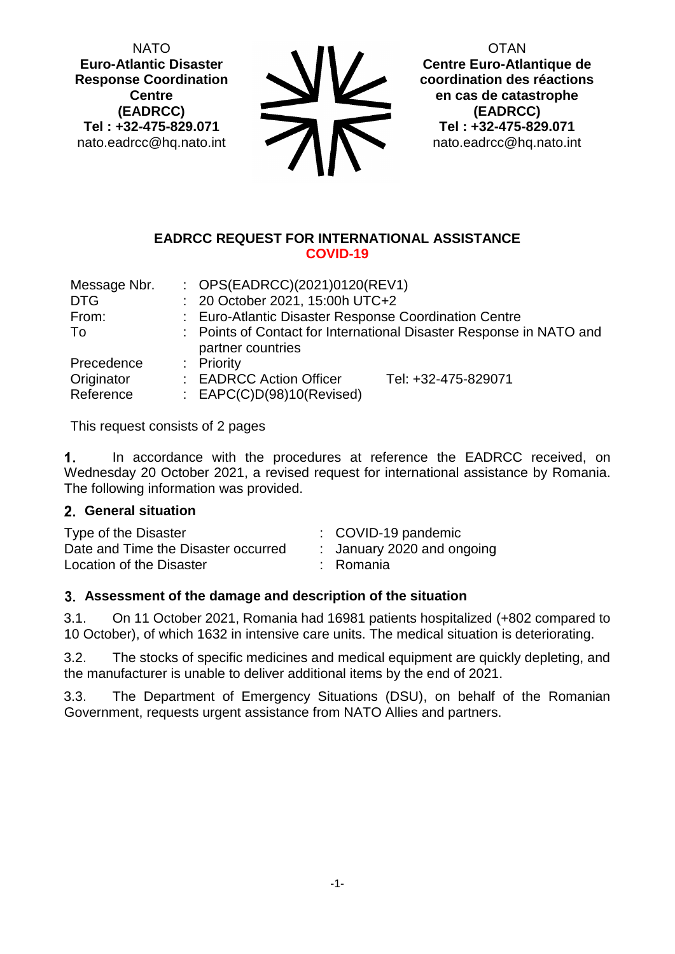NATO **Euro-Atlantic Disaster Response Coordination Centre (EADRCC) Tel : +32-475-829.071** nato.eadrcc@hq.nato.int

 $\sum_{n=1}^{\infty}$ 

**OTAN Centre Euro-Atlantique de coordination des réactions en cas de catastrophe (EADRCC) Tel : +32-475-829.071** nato.eadrcc@hq.nato.int

#### **EADRCC REQUEST FOR INTERNATIONAL ASSISTANCE COVID-19**

| Message Nbr. | : $OPS(EADRCC)(2021)0120(REV1)$                                                          |                     |  |
|--------------|------------------------------------------------------------------------------------------|---------------------|--|
| DTG          | : 20 October 2021, 15:00h UTC+2                                                          |                     |  |
| From:        | : Euro-Atlantic Disaster Response Coordination Centre                                    |                     |  |
| To           | : Points of Contact for International Disaster Response in NATO and<br>partner countries |                     |  |
| Precedence   | : Priority                                                                               |                     |  |
| Originator   | : EADRCC Action Officer                                                                  | Tel: +32-475-829071 |  |
| Reference    | : $EAPC(C)D(98)10(Revised)$                                                              |                     |  |

This request consists of 2 pages

 $\mathbf 1$ . In accordance with the procedures at reference the EADRCC received, on Wednesday 20 October 2021, a revised request for international assistance by Romania. The following information was provided.

#### **General situation**

| Type of the Disaster                | $\therefore$ COVID-19 pandemic |
|-------------------------------------|--------------------------------|
| Date and Time the Disaster occurred | : January 2020 and ongoing     |
| Location of the Disaster            | : Romania                      |

# **Assessment of the damage and description of the situation**

3.1. On 11 October 2021, Romania had 16981 patients hospitalized (+802 compared to 10 October), of which 1632 in intensive care units. The medical situation is deteriorating.

3.2. The stocks of specific medicines and medical equipment are quickly depleting, and the manufacturer is unable to deliver additional items by the end of 2021.

3.3. The Department of Emergency Situations (DSU), on behalf of the Romanian Government, requests urgent assistance from NATO Allies and partners.